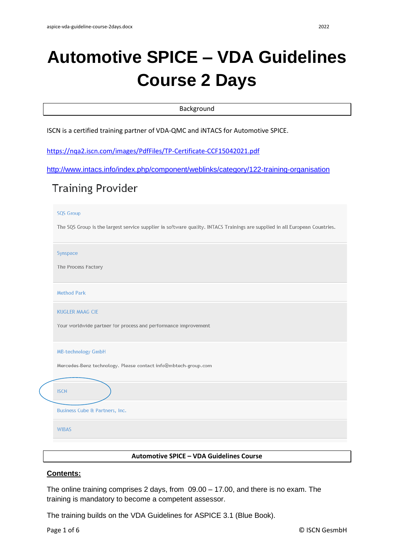### Background

ISCN is a certified training partner of VDA-QMC and iNTACS for Automotive SPICE.

<https://nqa2.iscn.com/images/PdfFiles/TP-Certificate-CCF15042021.pdf>

```
http://www.intacs.info/index.php/component/weblinks/category/122-training-organisation
```
# **Training Provider**

#### **SQS Group**

The SQS Group is the largest service supplier in software quality. INTACS Trainings are supplied in all European Countries.

Synspace

The Process Factory

**Method Park** 

KUGLER MAAG CIF

Your worldwide partner for process and performance improvement

| <b>MB-technology GmbH</b> |  |  |
|---------------------------|--|--|
|                           |  |  |

Mercedes-Benz technology. Please contact info@mbtech-group.com

## **ISCN**

**Business Cube & Partners, Inc.** 

**WIRAS** 

### **Automotive SPICE – VDA Guidelines Course**

### **Contents:**

The online training comprises 2 days, from 09.00 – 17.00, and there is no exam. The training is mandatory to become a competent assessor.

The training builds on the VDA Guidelines for ASPICE 3.1 (Blue Book).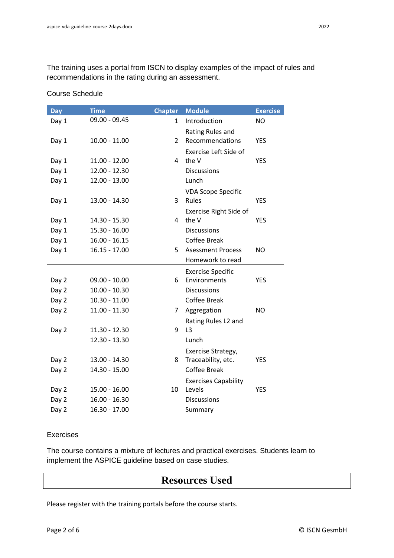The training uses a portal from ISCN to display examples of the impact of rules and recommendations in the rating during an assessment.

| <b>Day</b> | <b>Time</b>     | <b>Chapter</b> | <b>Module</b>                | <b>Exercise</b> |
|------------|-----------------|----------------|------------------------------|-----------------|
| Day 1      | 09.00 - 09.45   | 1              | Introduction                 | <b>NO</b>       |
|            |                 |                | Rating Rules and             |                 |
| Day 1      | $10.00 - 11.00$ | $\overline{2}$ | Recommendations              | <b>YES</b>      |
|            |                 |                | <b>Exercise Left Side of</b> |                 |
| Day 1      | $11.00 - 12.00$ | 4              | the V                        | <b>YES</b>      |
| Day 1      | 12.00 - 12.30   |                | <b>Discussions</b>           |                 |
| Day 1      | 12.00 - 13.00   |                | Lunch                        |                 |
|            |                 |                | <b>VDA Scope Specific</b>    |                 |
| Day 1      | 13.00 - 14.30   | 3              | Rules                        | <b>YES</b>      |
|            |                 |                | Exercise Right Side of       |                 |
| Day 1      | 14.30 - 15.30   | 4              | the V                        | <b>YES</b>      |
| Day 1      | 15.30 - 16.00   |                | <b>Discussions</b>           |                 |
| Day 1      | $16.00 - 16.15$ |                | <b>Coffee Break</b>          |                 |
| Day 1      | $16.15 - 17.00$ | 5.             | <b>Asessment Process</b>     | <b>NO</b>       |
|            |                 |                | Homework to read             |                 |
|            |                 |                | <b>Exercise Specific</b>     |                 |
| Day 2      | $09.00 - 10.00$ | 6              | Environments                 | <b>YES</b>      |
| Day 2      | $10.00 - 10.30$ |                | <b>Discussions</b>           |                 |
| Day 2      | 10.30 - 11.00   |                | <b>Coffee Break</b>          |                 |
| Day 2      | 11.00 - 11.30   | 7              | Aggregation                  | <b>NO</b>       |
|            |                 |                | Rating Rules L2 and          |                 |
| Day 2      | 11.30 - 12.30   | 9              | L <sub>3</sub>               |                 |
|            | 12.30 - 13.30   |                | Lunch                        |                 |
|            |                 |                | Exercise Strategy,           |                 |
| Day 2      | 13.00 - 14.30   | 8              | Traceability, etc.           | <b>YES</b>      |
| Day 2      | 14.30 - 15.00   |                | <b>Coffee Break</b>          |                 |
|            |                 |                | <b>Exercises Capability</b>  |                 |
| Day 2      | 15.00 - 16.00   | 10             | Levels                       | <b>YES</b>      |
| Day 2      | $16.00 - 16.30$ |                | <b>Discussions</b>           |                 |
| Day 2      | 16.30 - 17.00   |                | Summary                      |                 |

Course Schedule

### Exercises

The course contains a mixture of lectures and practical exercises. Students learn to implement the ASPICE guideline based on case studies.

## **Resources Used**

Please register with the training portals before the course starts.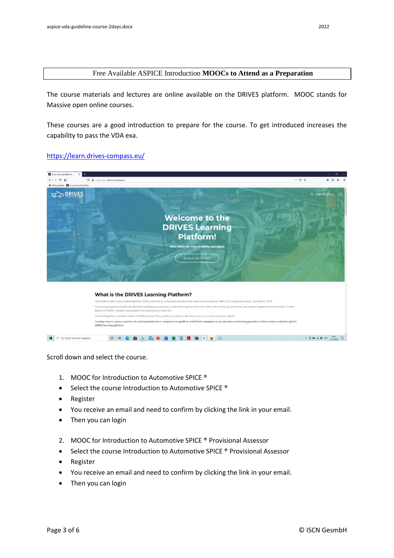The course materials and lectures are online available on the DRIVES platform. MOOC stands for Massive open online courses.

These courses are a good introduction to prepare for the course. To get introduced increases the capability to pass the VDA exa.

### <https://learn.drives-compass.eu/>



Scroll down and select the course.

- 1. MOOC for Introduction to Automotive SPICE ®
- Select the course Introduction to Automotive SPICE ®
- Register
- You receive an email and need to confirm by clicking the link in your email.
- Then you can login
- 2. MOOC for Introduction to Automotive SPICE ® Provisional Assessor
- Select the course Introduction to Automotive SPICE ® Provisional Assessor
- Register
- You receive an email and need to confirm by clicking the link in your email.
- Then you can login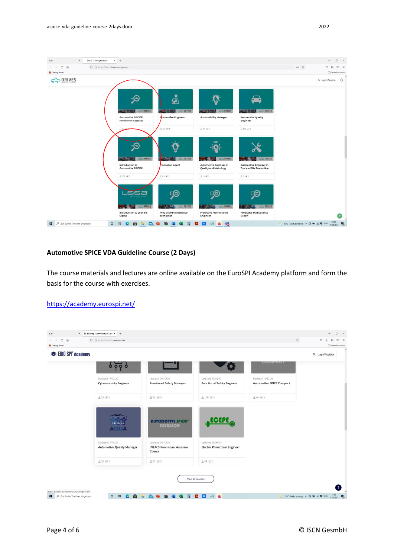

### **Automotive SPICE VDA Guideline Course (2 Days)**

The course materials and lectures are online available on the EuroSPI Academy platform and form the basis for the course with exercises.

### <https://academy.eurospi.net/>

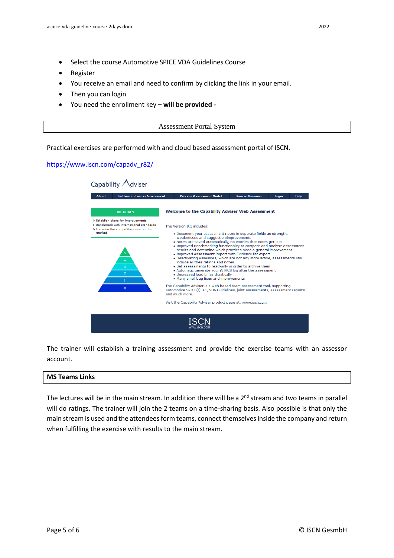- Select the course Automotive SPICE VDA Guidelines Course
- Register
- You receive an email and need to confirm by clicking the link in your email.
- Then you can login
- You need the enrollment key **– will be provided -**

| .<br><b>ASSOSSITICIII</b> FUITAL $\omega$<br>ystelli |
|------------------------------------------------------|
|                                                      |

Practical exercises are performed with and cloud based assessment portal of ISCN.

### [https://www.iscn.com/capadv\\_r82/](https://www.iscn.com/capadv_r82/)

| Capability<br>viser                                                                                                               |                                                                                                                                                                                                                                                                                                                                                                                                                                                                                                                                                                                                                                                                                                                      |                       |       |             |  |  |
|-----------------------------------------------------------------------------------------------------------------------------------|----------------------------------------------------------------------------------------------------------------------------------------------------------------------------------------------------------------------------------------------------------------------------------------------------------------------------------------------------------------------------------------------------------------------------------------------------------------------------------------------------------------------------------------------------------------------------------------------------------------------------------------------------------------------------------------------------------------------|-----------------------|-------|-------------|--|--|
| <b>Software Process Assessment</b><br><b>About</b>                                                                                | <b>Process Assessment Model</b>                                                                                                                                                                                                                                                                                                                                                                                                                                                                                                                                                                                                                                                                                      | <b>Browse Domains</b> | Login | <b>Help</b> |  |  |
| <b>THE GOALS</b>                                                                                                                  | <b>Welcome to the Capability Adviser Web Assessment</b>                                                                                                                                                                                                                                                                                                                                                                                                                                                                                                                                                                                                                                                              |                       |       |             |  |  |
| > Establish plans for improvements<br>> Benchmark with international standards<br>> Increase the competitiveness on the<br>market | The Version 8.1 includes:                                                                                                                                                                                                                                                                                                                                                                                                                                                                                                                                                                                                                                                                                            |                       |       |             |  |  |
| $\overline{\mathbf{3}}$<br>$\overline{2}$                                                                                         | . Document your assessment notes in separate fields as strength,<br>weaknesses and suggestion/improvements<br>. Notes are saved automatically, no worries that notes get lost<br>. Improved Benchmarking functionality to compare and analyse assessment<br>results and determine which practices need a general improvement<br>. Improved Assessment Report with Evidence list export<br>. Deactivating Assessors, which are not any more active, assessments still<br>include all their ratings and notes<br>• Set assessments to read-only in order to archive them<br>. Automatic generate your iNTACS log after the assessment<br>. Decreased load times drastically<br>• Many small bug fixes and improvements |                       |       |             |  |  |
| $\mathbf{0}$                                                                                                                      | The Capability Adviser is a web based team assessment tool, supporting<br>Automotive SPICE(r) 3.1, VDA Guidelines, joint assessments, assessment reports<br>and much more.                                                                                                                                                                                                                                                                                                                                                                                                                                                                                                                                           |                       |       |             |  |  |
|                                                                                                                                   | Visit the Capability Adviser product page at: www.iscn.com                                                                                                                                                                                                                                                                                                                                                                                                                                                                                                                                                                                                                                                           |                       |       |             |  |  |
|                                                                                                                                   |                                                                                                                                                                                                                                                                                                                                                                                                                                                                                                                                                                                                                                                                                                                      |                       |       |             |  |  |

The trainer will establish a training assessment and provide the exercise teams with an assessor account.

#### **MS Teams Links**

The lectures will be in the main stream. In addition there will be a  $2<sup>nd</sup>$  stream and two teams in parallel will do ratings. The trainer will join the 2 teams on a time-sharing basis. Also possible is that only the main stream is used and the attendees form teams, connect themselves inside the company and return when fulfilling the exercise with results to the main stream.